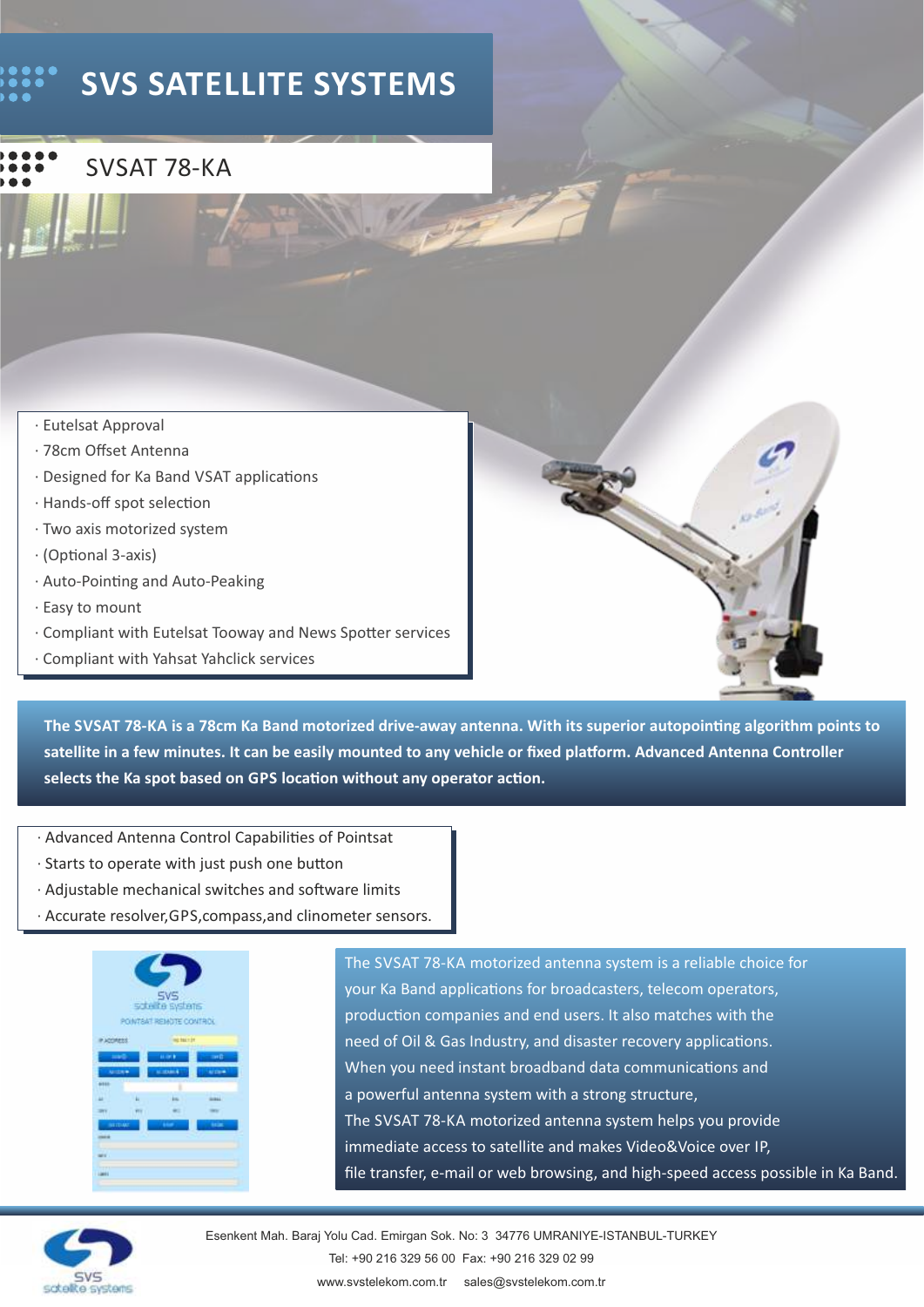## **SVS SATELLITE SYSTEMS**



- · Eutelsat Approval
- · 78cm Offset Antenna
- · Designed for Ka Band VSAT applications
- $\cdot$  Hands-off spot selection
- · Two axis motorized system
- $\cdot$  (Optional 3-axis)
- · Auto-Poinng and Auto-Peaking
- · Easy to mount
- · Compliant with Eutelsat Tooway and News Spotter services
- · Compliant with Yahsat Yahclick services



- · Advanced Antenna Control Capabilities of Pointsat
- $\cdot$  Starts to operate with just push one button
- $\cdot$  Adjustable mechanical switches and software limits
- · Accurate resolver,GPS,compass,and clinometer sensors.



The SVSAT 78-KA motorized antenna system is a reliable choice for your Ka Band applications for broadcasters, telecom operators, production companies and end users. It also matches with the need of Oil & Gas Industry, and disaster recovery applications. When you need instant broadband data communications and a powerful antenna system with a strong structure, The SVSAT 78-KA motorized antenna system helps you provide immediate access to satellite and makes Video&Voice over IP, file transfer, e-mail or web browsing, and high-speed access possible in Ka Band.



Esenkent Mah. Baraj Yolu Cad. Emirgan Sok. No: 3 34776 UMRANIYE-ISTANBUL-TURKEY Tel: +90 216 329 56 00 Fax: +90 216 329 02 99 www.svstelekom.com.tr sales@svstelekom.com.tr